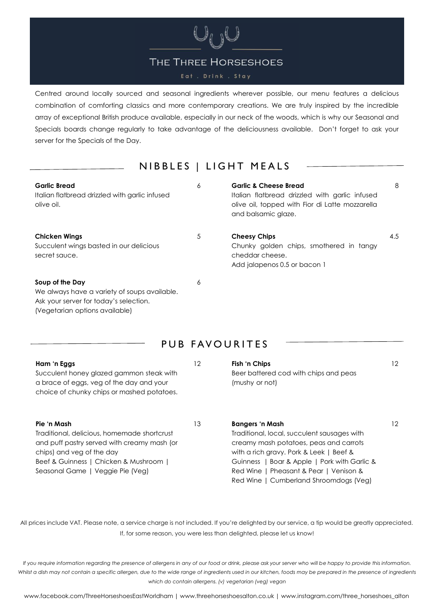# THE THREE HORSESHOES

Eat. Drink. Stay

Centred around locally sourced and seasonal ingredients wherever possible, our menu features a delicious combination of comforting classics and more contemporary creations. We are truly inspired by the incredible array of exceptional British produce available, especially in our neck of the woods, which is why our Seasonal and Specials boards change regularly to take advantage of the deliciousness available. Don't forget to ask your server for the Specials of the Day.

## NIBBLES | LIGHT MEALS

| <b>Garlic Bread</b><br>Italian flatbread drizzled with garlic infused<br>olive oil.                       | 6 | <b>Garlic &amp; Cheese Bread</b><br>Italian flatbread drizzled with garlic infused<br>olive oil, topped with Fior di Latte mozzarella<br>and balsamic glaze. | 8   |
|-----------------------------------------------------------------------------------------------------------|---|--------------------------------------------------------------------------------------------------------------------------------------------------------------|-----|
| <b>Chicken Wings</b><br>Succulent wings basted in our delicious<br>secret squce.                          | 5 | <b>Cheesy Chips</b><br>Chunky golden chips, smothered in tangy<br>cheddar cheese.<br>Add jalapenos 0.5 or bacon 1                                            | 4.5 |
| Soup of the Day<br>We always have a variety of soups available.<br>Ask your server for today's selection. | 6 |                                                                                                                                                              |     |

# PUB FAVOURITES

#### **Ham 'n Eggs**

Succulent honey glazed gammon steak with a brace of eggs, veg of the day and your choice of chunky chips or mashed potatoes.

(Vegetarian options available)

## **Pie 'n Mash**

Traditional, delicious, homemade shortcrust and puff pastry served with creamy mash (or chips) and veg of the day Beef & Guinness | Chicken & Mushroom | Seasonal Game | Veggie Pie (Veg)

12 **Fish 'n Chips** Beer battered cod with chips and peas (mushy or not)

 $12$ 

12

13 **Bangers 'n Mash** Traditional, local, succulent sausages with creamy mash potatoes, peas and carrots with a rich gravy. Pork & Leek | Beef & Guinness | Boar & Apple | Pork with Garlic & Red Wine | Pheasant & Pear | Venison & Red Wine | Cumberland Shroomdogs (Veg)

All prices include VAT. Please note, a service charge is not included. If you're delighted by our service, a tip would be greatly appreciated. If, for some reason, you were less than delighted, please let us know!

*If you require information regarding the presence of allergens in any of our food or drink, please ask your server who will be happy to provide this information.*  Whilst a dish may not contain a specific allergen, due to the wide range of ingredients used in our kitchen, foods may be prepared in the presence of ingredients *which do contain allergens. (v) vegetarian (veg) vegan*

www.facebook.com/ThreeHorseshoesEastWorldham | www.threehorseshoesalton.co.uk | www.instagram.com/three\_horseshoes\_alton